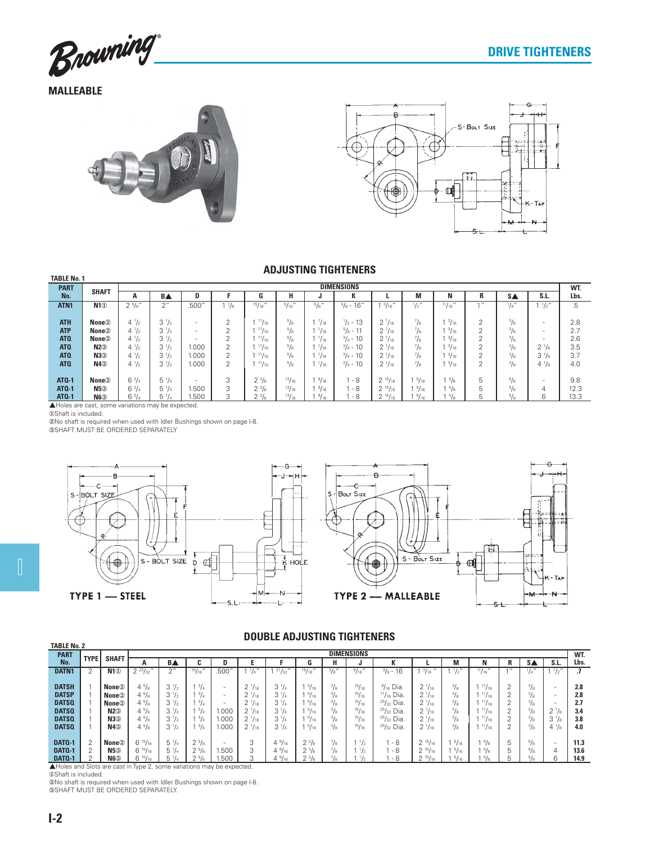

**MALLEABLE**





## **ADJUSTING TIGHTENERS**

| ADJUJI INU TIUN LINENJ |                                                    |                |                    |                          |                 |               |                 |              |                     |                    |                 |                |                |               |                          |             |  |
|------------------------|----------------------------------------------------|----------------|--------------------|--------------------------|-----------------|---------------|-----------------|--------------|---------------------|--------------------|-----------------|----------------|----------------|---------------|--------------------------|-------------|--|
| <b>TABLE No. 1</b>     |                                                    |                |                    |                          |                 |               |                 |              |                     |                    |                 |                |                |               |                          |             |  |
| <b>PART</b>            | <b>SHAFT</b>                                       |                | <b>DIMENSIONS</b>  |                          |                 |               |                 |              |                     |                    |                 |                |                |               |                          |             |  |
| No.                    |                                                    | A              | <b>BA</b>          | D                        |                 | u             | н               |              | к                   |                    | М               | N              | R              | S.            | S.L.                     | WT.<br>Lbs. |  |
| ATN <sub>1</sub>       | N1 <sup>①</sup>                                    | $2^{5}/s''$    | $2^{\prime\prime}$ | .500''                   | $1 \frac{1}{8}$ | $15/16$ "     | 5/16''          | $^{5}/\!s$ " | $\frac{3}{8}$ - 16" | $1 \frac{3}{16}$ " | $\frac{1}{2}$ " | 11/16''        | 11             | $^{1}/_{4}$ " | $^{1}/_{2}$ "            | .5          |  |
|                        |                                                    |                |                    |                          |                 |               |                 |              |                     |                    |                 |                |                |               |                          |             |  |
| <b>ATH</b>             | None <sup>2</sup>                                  | $4^{1/2}$      | $3 \frac{1}{2}$    | $\overline{\phantom{a}}$ | $\overline{2}$  | 11/16         | 5/8             | $^{1}/_{16}$ | $\frac{1}{2}$ - 13  | $2 \frac{1}{16}$   | $^7$ /s         | $^{3}/_{16}$   | 2              | $\frac{3}{8}$ | $\overline{\phantom{a}}$ | 2.8         |  |
| <b>ATP</b>             | None <sup>2</sup>                                  | $4^{1}/_{2}$   | $3 \frac{1}{2}$    | ۰.                       | $\mathcal{P}$   | $^{11}/_{16}$ | $^{5}/_{8}$     | $^{1}/_{16}$ | $\frac{5}{8}$ - 11  | $2^{1/16}$         | 7∕8             | $^{3}/_{16}$   | $\mathfrak{D}$ | $^{3}/_{8}$   | $\overline{\phantom{a}}$ | 2.7         |  |
| ATQ                    | None <sup>2</sup>                                  | $4^{1/2}$      | $3^{1/2}$          | -                        | $\mathcal{P}$   | 11/16         | $^{5}/_{8}$     | $^{1}/_{16}$ | $\frac{3}{4}$ - 10  | $2^{1/16}$         | $^7$ /s         | $^{3}/_{16}$   | $\mathfrak{D}$ | $\frac{3}{8}$ | $\overline{\phantom{a}}$ | 2.6         |  |
| ATQ                    | N2 <sup>3</sup>                                    | $4^{1}/_{2}$   | $3 \frac{1}{2}$    | 1.000                    | 2               | $^{11}/_{16}$ | $^{5}/_{8}$     | $^{1}/_{16}$ | $\frac{3}{4}$ - 10  | $2\frac{1}{16}$    | $^7$ /s         | $^{3}/_{16}$   | 2              | $^{3}/_{8}$   | $2\frac{1}{8}$           | 3.5         |  |
| ATQ                    | N3                                                 | $4^{1/2}$      | $3^{1/2}$          | .000                     | $\mathcal{P}$   | 11/16         | $^{5}/_{8}$     | $^{1}/_{16}$ | $\frac{3}{4}$ - 10  | $2^{1/16}$         | $\frac{7}{8}$   | 13/16          | $\mathfrak{D}$ | $\frac{3}{8}$ | $3^{1}/s$                | 3.7         |  |
| ATQ                    | N4 <sup>3</sup>                                    | $4^{1/2}$      | $3 \frac{1}{2}$    | 1.000                    | 2               | 11/16         | 5/8             | $^{1}/_{16}$ | $\frac{3}{4}$ - 10  | $2\frac{1}{16}$    | $\frac{7}{8}$   | 3/16           | 2              | $\frac{3}{8}$ | $4\frac{1}{8}$           | 4.0         |  |
|                        |                                                    |                |                    |                          |                 |               |                 |              |                     |                    |                 |                |                |               |                          |             |  |
| <b>ATQ-1</b>           | None <sup>2</sup>                                  | $6\frac{3}{4}$ | $5 \frac{1}{4}$    | $\overline{\phantom{a}}$ | 3               | $2^{3}/s$     | 13/16           | $^{9}/_{16}$ | l - 8               | $2^{15}/_{16}$     | $1\frac{5}{16}$ | 15/8           | 5              | 5/8           | $\overline{\phantom{a}}$ | 9.8         |  |
| <b>ATQ-1</b>           | N5 <sup>3</sup>                                    | $6^{3}/4$      | $5 \frac{1}{4}$    | .500                     | 3               | $2^{3}/s$     | 13/16           | $^{9}/_{16}$ | - 8                 | $2^{15}/_{16}$     | $1\frac{5}{16}$ | $1\frac{5}{8}$ | 5              | $^{5}/_{8}$   | 4                        | 12.3        |  |
| <b>ATQ-1</b>           | $N6$ <sup>3</sup>                                  | $6\frac{3}{4}$ | $5\frac{1}{4}$     | .500                     | 3               | $2^{3}/_{8}$  | $\frac{13}{16}$ | $^{9}/_{16}$ | - 8                 | $2^{15}/_{16}$     | $1\frac{5}{16}$ | 5/8            | 5              | $^{5}/_8$     | 6                        | 13.3        |  |
|                        | A Holes are cast, some variations may be expected. |                |                    |                          |                 |               |                 |              |                     |                    |                 |                |                |               |                          |             |  |

▲Holes are cast, s<br>①Shaft is included.

**SOLATE INCLUST** 

SHAFT MUST BE ORDERED SEPARATELY





## **DOUBLE ADJUSTING TIGHTENERS**

|                   | PUUPLE APUUU IIIIU TIUITEIIEIIU |                   |                    |                  |                    |                          |                 |                 |              |               |                         |                     |                  |               |               |        |               |                          |      |
|-------------------|---------------------------------|-------------------|--------------------|------------------|--------------------|--------------------------|-----------------|-----------------|--------------|---------------|-------------------------|---------------------|------------------|---------------|---------------|--------|---------------|--------------------------|------|
|                   | <b>TABLE No. 2</b>              |                   |                    |                  |                    |                          |                 |                 |              |               |                         |                     |                  |               |               |        |               |                          |      |
| <b>PART</b>       | <b>DIMENSIONS</b>               |                   |                    |                  |                    |                          |                 |                 |              |               |                         |                     |                  |               | WT.           |        |               |                          |      |
| No.               | <b>TYPE</b>                     | <b>SHAFT</b>      | $\mathbf{A}$       | <b>BA</b>        | ι.                 |                          |                 |                 | u            | н             | u                       | n                   |                  | M             | N             | n      | <b>SA</b>     | S.L.                     | Lbs. |
| DATN <sub>1</sub> |                                 | N10               | $2^{23}/_{32}$     | $\bigcap$        | 15/16''            | .500'                    | 1/4             | 31/32           | 15/16'       | $^{3}/_{8}$ " | 9/16'<br>$\overline{u}$ | $\frac{3}{8}$ - 16  | $^{3}/_{16}$     | $1/2$ "       | 11/16''       |        |               | $^{1}/_{2}$ "            |      |
|                   |                                 |                   |                    |                  |                    |                          |                 |                 |              |               |                         |                     |                  |               |               |        |               |                          |      |
| <b>DATSH</b>      |                                 | None <sup>2</sup> | $4\frac{5}{8}$     | $3^{1/2}$        | $^{3}/_{4}$        | $\sim$                   | $2^{1/16}$      | $3^{1}/4$       | $^{5}/_{16}$ | $\frac{3}{8}$ | 15/16                   | $\frac{9}{16}$ Dia. | $2^{1}/_{16}$    | $^{3}/_{8}$   | $^{11}/_{16}$ |        | $\frac{3}{8}$ | $\overline{\phantom{a}}$ | 2.8  |
| <b>DATSP</b>      |                                 | None <sup>2</sup> | $4\frac{5}{8}$     | $3^{1/2}$        | $^{3}/_{4}$        | $\overline{\phantom{a}}$ | $2^{1/16}$      | $3^{1}/4$       | $^{5}/_{16}$ | $^{3}/_{8}$   | 15/16                   | $11/16$ Dia.        | $2^{1/16}$       | $^{3}/_{8}$   | 11/16         |        | $\frac{3}{8}$ | $\overline{\phantom{a}}$ | 2.8  |
| <b>DATSQ</b>      |                                 | None <sup>2</sup> | $4^{5}/\mathrm{s}$ | $3\frac{1}{2}$   | 3/4                | $\sim$                   | $2\frac{1}{16}$ | $3 \frac{1}{4}$ | 5/16         | $^{3}/_{8}$   | 15/16                   | $25/32$ Dia.        | $2\frac{1}{16}$  | $^{3}/_{8}$   | 11/16         |        | $\frac{3}{8}$ | $\overline{\phantom{0}}$ | 2.7  |
| <b>DATSQ</b>      |                                 | $N2$ <sup>3</sup> | $4^{5}/_{8}$       | $3\frac{1}{2}$   | $\frac{3}{4}$      | .000                     | $2\frac{1}{16}$ | $3 \frac{1}{4}$ | $^{5}/_{16}$ | $\frac{3}{8}$ | 15/16                   | $25/32$ Dia.        | $2^{1/16}$       | $\frac{3}{8}$ | $^{11}/_{16}$ |        | $\frac{3}{8}$ | $2^{1}/s$                | 3.4  |
| <b>DATSQ</b>      |                                 | N3                | $4\frac{5}{8}$     | $3^{1/2}$        | 3/4                | .000                     | $2^{1/16}$      | $3^{1}/4$       | $^{5}/_{16}$ | $\frac{3}{8}$ | 15/16                   | $25/32$ Dia.        | $2^{1/16}$       | $^{3}/_{8}$   | 11/16         |        | $\frac{3}{8}$ | $3^{1}/s$                | 3.8  |
| <b>DATSQ</b>      |                                 | N4 <sup>3</sup>   | $4\frac{5}{8}$     | $3\frac{1}{2}$   | 3/4                | .000                     | $2\frac{1}{16}$ | $3 \frac{1}{4}$ | $^{5}/_{16}$ | $^{3}/_{8}$   | 15/16                   | $25/32$ Dia.        | $2 \frac{1}{16}$ | $^{3}/_{8}$   | 11/16         | $\sim$ | 3/8           | $4\frac{1}{8}$           | 4.0  |
|                   |                                 |                   |                    |                  |                    |                          |                 |                 |              |               |                         |                     |                  |               |               |        |               |                          |      |
| <b>DAT0-1</b>     |                                 | None <sup>2</sup> | $6^{15}/_{16}$     | $5\frac{1}{4}$   | $2^{5}/s$          | $\overline{\phantom{a}}$ | $\sim$<br>кJ    | $4\frac{9}{16}$ | $2^{3}/s$    | $^{7}/_{8}$   | $\frac{1}{2}$           | - 8                 | $2^{15}/_{16}$   | $^{5}/_{16}$  | $^{5}/_{8}$   | 5      | $^{5}/_8$     | $\overline{\phantom{a}}$ | 11.3 |
| DATO-1            |                                 | N5 <sup>3</sup>   | $6^{15}/_{16}$     | $5\frac{1}{4}$   | $2^{5}/\mathrm{s}$ | .500                     | $\sim$          | $4\frac{9}{16}$ | $2^{3}/_{8}$ | $^7$ /g       | $\frac{1}{2}$           | - 8                 | $2^{15}/_{16}$   | $^{5}/_{16}$  | $^{5}/_8$     | ь      | /s            | 4                        | 13.6 |
| DATO-1            |                                 | N63               | $6^{15}/_{16}$     | $5\,\frac{1}{4}$ | $2^{5}/s$          | .500                     | ◠               | $4\frac{9}{16}$ | $2^{3}/8$    |               | 1/2                     | - 8                 | 15/16<br>$\sim$  | $^{5}/_{16}$  | $^{5}/_{8}$   |        |               | 6                        | 14.9 |

**DATQ-1** | 2 | **N6**<sup>®</sup> | 6 <sup>15</sup>/<sub>16</sub> | 5 <sup>1</sup>/<sub>4</sub> | 2 <sup>5</sup>/<sub>8</sub> | 1.500 | 3 | 4 <sup>9</sup><br> **A** Holes and Slots are cast in Type 2, some variations may be expected.

 No shaft is required when used with Idler Bushings shown on page I-8. SHAFT MUST BE ORDERED SEPARATELY.